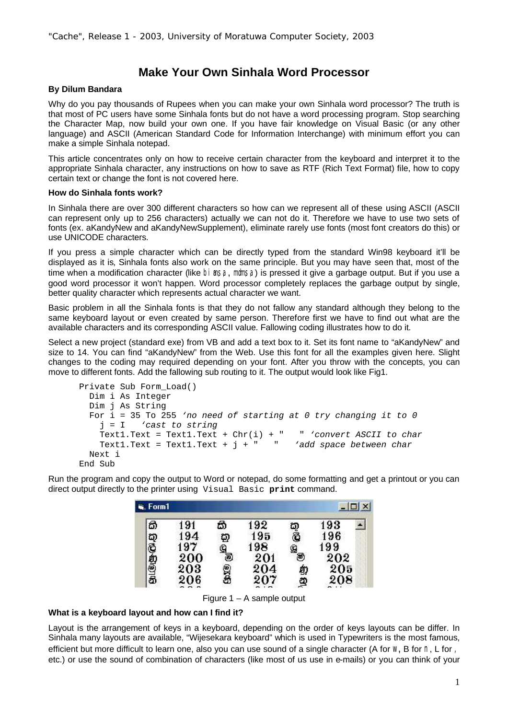## **Make Your Own Sinhala Word Processor**

## **By Dilum Bandara**

Why do you pay thousands of Rupees when you can make your own Sinhala word processor? The truth is that most of PC users have some Sinhala fonts but do not have a word processing program. Stop searching the Character Map, now build your own one. If you have fair knowledge on Visual Basic (or any other language) and ASCII (American Standard Code for Information Interchange) with minimum effort you can make a simple Sinhala notepad.

This article concentrates only on how to receive certain character from the keyboard and interpret it to the appropriate Sinhala character, any instructions on how to save as RTF (Rich Text Format) file, how to copy certain text or change the font is not covered here.

## **How do Sinhala fonts work?**

In Sinhala there are over 300 different characters so how can we represent all of these using ASCII (ASCII can represent only up to 256 characters) actually we can not do it. Therefore we have to use two sets of fonts (ex. aKandyNew and aKandyNewSupplement), eliminate rarely use fonts (most font creators do this) or use UNICODE characters.

If you press a simple character which can be directly typed from the standard Win98 keyboard it'll be displayed as it is, Sinhala fonts also work on the same principle. But you may have seen that, most of the time when a modification character (like bi asa, momsa) is pressed it give a garbage output. But if you use a good word processor it won't happen. Word processor completely replaces the garbage output by single, better quality character which represents actual character we want.

Basic problem in all the Sinhala fonts is that they do not fallow any standard although they belong to the same keyboard layout or even created by same person. Therefore first we have to find out what are the available characters and its corresponding ASCII value. Fallowing coding illustrates how to do it.

Select a new project (standard exe) from VB and add a text box to it. Set its font name to "aKandyNew" and size to 14. You can find "aKandyNew" from the Web. Use this font for all the examples given here. Slight changes to the coding may required depending on your font. After you throw with the concepts, you can move to different fonts. Add the fallowing sub routing to it. The output would look like Fig1.

```
Private Sub Form_Load() 
  Dim i As Integer
  Dim j As String
  For i = 35 To 255 'no need of starting at 0 try changing it to 0
     j = I 'cast to string 
    Text1.Text = Text1.Text + Chr(i) + " " 'convert ASCII to char
     Text1.Text = Text1.Text + j + " " 'add space between char
  Next i
End Sub
```
Run the program and copy the output to Word or notepad, do some formatting and get a printout or you can direct output directly to the printer using Visual Basic **print** command.

| G. Form1 |                          |                           | $\Box$ $\times$                 |                          |                          |
|----------|--------------------------|---------------------------|---------------------------------|--------------------------|--------------------------|
|          |                          |                           |                                 |                          |                          |
|          |                          |                           |                                 |                          |                          |
| 197      |                          |                           |                                 | 199                      |                          |
|          |                          |                           |                                 |                          |                          |
|          |                          |                           |                                 |                          |                          |
| 206      |                          | 207                       | $\mathbf{Q}$                    | 208                      |                          |
|          | 191<br>194<br>200<br>203 | කි<br>ឆ្ន<br>g<br>0<br>93 | 192<br>195<br>198<br>201<br>204 | o<br>Ö<br>$^{\circledR}$ | 193<br>196<br>202<br>205 |

Figure 1 – A sample output

## **What is a keyboard layout and how can I find it?**

Layout is the arrangement of keys in a keyboard, depending on the order of keys layouts can be differ. In Sinhala many layouts are available, "Wijesekara keyboard" which is used in Typewriters is the most famous, efficient but more difficult to learn one, also you can use sound of a single character (A for W, B for N, L for , etc.) or use the sound of combination of characters (like most of us use in e-mails) or you can think of your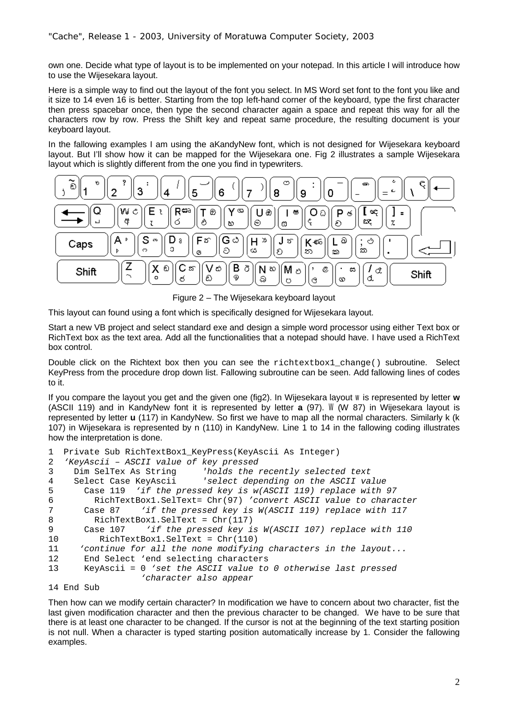own one. Decide what type of layout is to be implemented on your notepad. In this article I will introduce how to use the Wijesekara layout.

Here is a simple way to find out the layout of the font you select. In MS Word set font to the font you like and it size to 14 even 16 is better. Starting from the top left-hand corner of the keyboard, type the first character then press spacebar once, then type the second character again a space and repeat this way for all the characters row by row. Press the Shift key and repeat same procedure, the resulting document is your keyboard layout.

In the fallowing examples I am using the aKandyNew font, which is not designed for Wijesekara keyboard layout. But I'll show how it can be mapped for the Wijesekara one. Fig 2 illustrates a sample Wijesekara layout which is slightly different from the one you find in typewriters.



Figure 2 – The Wijesekara keyboard layout

This layout can found using a font which is specifically designed for Wijesekara layout.

Start a new VB project and select standard exe and design a simple word processor using either Text box or RichText box as the text area. Add all the functionalities that a notepad should have. I have used a RichText box control.

Double click on the Richtext box then you can see the richtextbox1\_change() subroutine. Select KeyPress from the procedure drop down list. Fallowing subroutine can be seen. Add fallowing lines of codes to it.

If you compare the layout you get and the given one (fig2). In Wijesekara layout w is represented by letter **w** (ASCII 119) and in KandyNew font it is represented by letter **a** (97). W (W 87) in Wijesekara layout is represented by letter **u** (117) in KandyNew. So first we have to map all the normal characters. Similarly k (k 107) in Wijesekara is represented by n (110) in KandyNew. Line 1 to 14 in the fallowing coding illustrates how the interpretation is done.

```
1 Private Sub RichTextBox1_KeyPress(KeyAscii As Integer)
2 'KeyAscii – ASCII value of key pressed 
3 Dim SelTex As String 'holds the recently selected text
4 Select Case KeyAscii 'select depending on the ASCII value
5 Case 119 'if the pressed key is w(ASCII 119) replace with 97
6 RichTextBox1.SelText= Chr(97) 'convert ASCII value to character
7 Case 87 'if the pressed key is W(ASCII 119) replace with 117
8 RichTextBox1.SelText = Chr(117)
9 Case 107 'if the pressed key is W(ASCII 107) replace with 110
10 RichTextBox1.SelText = Chr(110)
11 'continue for all the none modifying characters in the layout...
12 End Select 'end selecting characters
13 KeyAscii = 0 'set the ASCII value to 0 otherwise last pressed 
                  'character also appear
```

```
14 End Sub
```
Then how can we modify certain character? In modification we have to concern about two character, fist the last given modification character and then the previous character to be changed. We have to be sure that there is at least one character to be changed. If the cursor is not at the beginning of the text starting position is not null. When a character is typed starting position automatically increase by 1. Consider the fallowing examples.